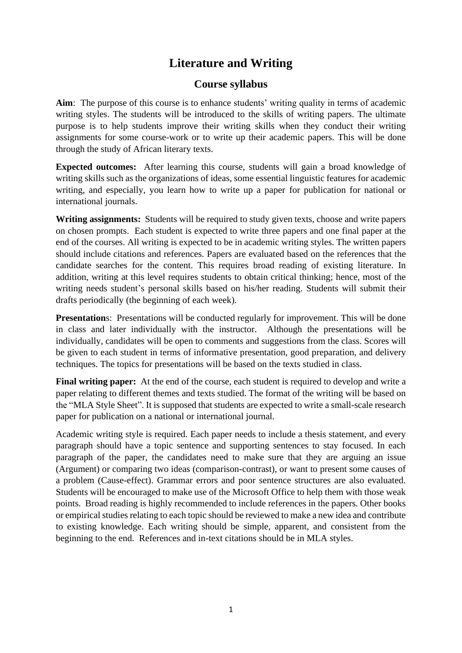## **Literature and Writing**

## **Course syllabus**

**Aim**: The purpose of this course is to enhance students' writing quality in terms of academic writing styles. The students will be introduced to the skills of writing papers. The ultimate purpose is to help students improve their writing skills when they conduct their writing assignments for some course-work or to write up their academic papers. This will be done through the study of African literary texts.

**Expected outcomes:** After learning this course, students will gain a broad knowledge of writing skills such as the organizations of ideas, some essential linguistic features for academic writing, and especially, you learn how to write up a paper for publication for national or international journals.

**Writing assignments:** Students will be required to study given texts, choose and write papers on chosen prompts. Each student is expected to write three papers and one final paper at the end of the courses. All writing is expected to be in academic writing styles. The written papers should include citations and references. Papers are evaluated based on the references that the candidate searches for the content. This requires broad reading of existing literature. In addition, writing at this level requires students to obtain critical thinking; hence, most of the writing needs student's personal skills based on his/her reading. Students will submit their drafts periodically (the beginning of each week).

**Presentations:** Presentations will be conducted regularly for improvement. This will be done in class and later individually with the instructor. Although the presentations will be individually, candidates will be open to comments and suggestions from the class. Scores will be given to each student in terms of informative presentation, good preparation, and delivery techniques. The topics for presentations will be based on the texts studied in class.

**Final writing paper:** At the end of the course, each student is required to develop and write a paper relating to different themes and texts studied. The format of the writing will be based on the "MLA Style Sheet". It is supposed that students are expected to write a small-scale research paper for publication on a national or international journal.

Academic writing style is required. Each paper needs to include a thesis statement, and every paragraph should have a topic sentence and supporting sentences to stay focused. In each paragraph of the paper, the candidates need to make sure that they are arguing an issue (Argument) or comparing two ideas (comparison-contrast), or want to present some causes of a problem (Cause-effect). Grammar errors and poor sentence structures are also evaluated. Students will be encouraged to make use of the Microsoft Office to help them with those weak points. Broad reading is highly recommended to include references in the papers. Other books or empirical studies relating to each topic should be reviewed to make a new idea and contribute to existing knowledge. Each writing should be simple, apparent, and consistent from the beginning to the end. References and in-text citations should be in MLA styles.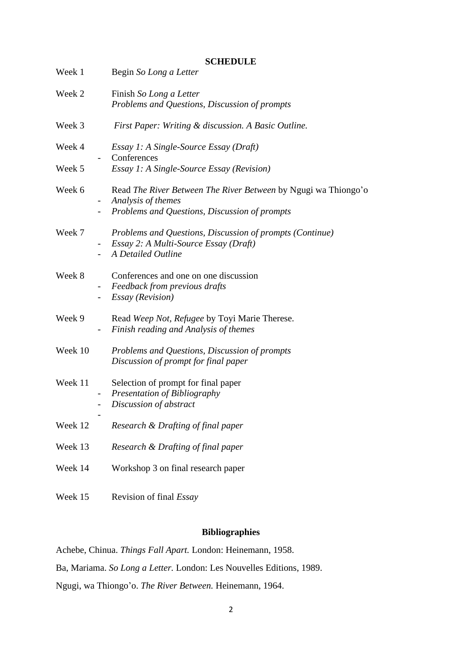|         |                | <b>SCHEDULE</b>                                                                                                                       |
|---------|----------------|---------------------------------------------------------------------------------------------------------------------------------------|
| Week 1  |                | Begin So Long a Letter                                                                                                                |
| Week 2  |                | Finish So Long a Letter<br>Problems and Questions, Discussion of prompts                                                              |
| Week 3  |                | First Paper: Writing & discussion. A Basic Outline.                                                                                   |
| Week 4  |                | Essay 1: A Single-Source Essay (Draft)<br>Conferences                                                                                 |
| Week 5  |                | <i>Essay 1: A Single-Source Essay (Revision)</i>                                                                                      |
| Week 6  |                | Read The River Between The River Between by Ngugi wa Thiongo'o<br>Analysis of themes<br>Problems and Questions, Discussion of prompts |
|         |                |                                                                                                                                       |
| Week 7  | $\blacksquare$ | Problems and Questions, Discussion of prompts (Continue)<br>Essay 2: A Multi-Source Essay (Draft)<br>A Detailed Outline               |
| Week 8  |                | Conferences and one on one discussion<br>Feedback from previous drafts<br><b>Essay</b> (Revision)                                     |
| Week 9  |                | Read Weep Not, Refugee by Toyi Marie Therese.<br>Finish reading and Analysis of themes                                                |
| Week 10 |                | Problems and Questions, Discussion of prompts<br>Discussion of prompt for final paper                                                 |
| Week 11 |                | Selection of prompt for final paper<br>Presentation of Bibliography<br>Discussion of abstract                                         |
| Week 12 |                | Research & Drafting of final paper                                                                                                    |
| Week 13 |                | Research & Drafting of final paper                                                                                                    |
| Week 14 |                | Workshop 3 on final research paper                                                                                                    |
| Week 15 |                | Revision of final <i>Essay</i>                                                                                                        |

## **Bibliographies**

Achebe, Chinua. *Things Fall Apart.* London: Heinemann, 1958.

Ba, Mariama. *So Long a Letter.* London: Les Nouvelles Editions, 1989.

Ngugi, wa Thiongo'o. *The River Between.* Heinemann, 1964.